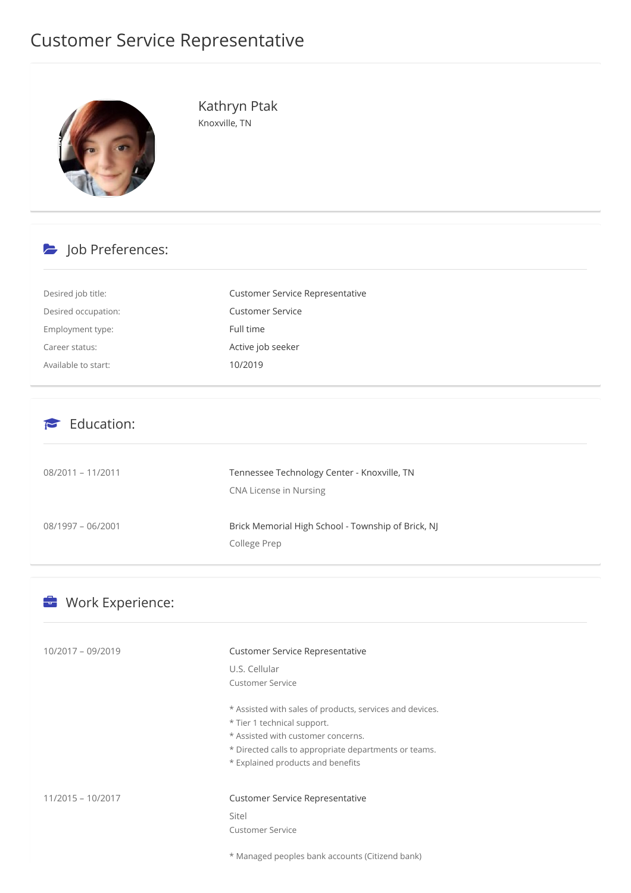## Customer Service Representative



Kathryn Ptak Knoxville, TN

## b Job Preferences:

| Desired job title:  | Customer Service Representative |
|---------------------|---------------------------------|
| Desired occupation: | <b>Customer Service</b>         |
| Employment type:    | Full time                       |
| Career status:      | Active job seeker               |
| Available to start: | 10/2019                         |

## $\epsilon$  Education:

| $08/2011 - 11/2011$ | Tennessee Technology Center - Knoxville, TN<br>CNA License in Nursing |
|---------------------|-----------------------------------------------------------------------|
| $08/1997 - 06/2001$ | Brick Memorial High School - Township of Brick, NJ<br>College Prep    |

| Work Experience:  |                                                          |  |  |
|-------------------|----------------------------------------------------------|--|--|
| 10/2017 - 09/2019 | Customer Service Representative                          |  |  |
|                   | U.S. Cellular                                            |  |  |
|                   | <b>Customer Service</b>                                  |  |  |
|                   | * Assisted with sales of products, services and devices. |  |  |
|                   | * Tier 1 technical support.                              |  |  |
|                   | * Assisted with customer concerns.                       |  |  |
|                   | * Directed calls to appropriate departments or teams.    |  |  |
|                   | * Explained products and benefits                        |  |  |
| 11/2015 - 10/2017 | <b>Customer Service Representative</b>                   |  |  |
|                   | Sitel                                                    |  |  |
|                   | <b>Customer Service</b>                                  |  |  |
|                   | * Managed peoples bank accounts (Citizend bank)          |  |  |